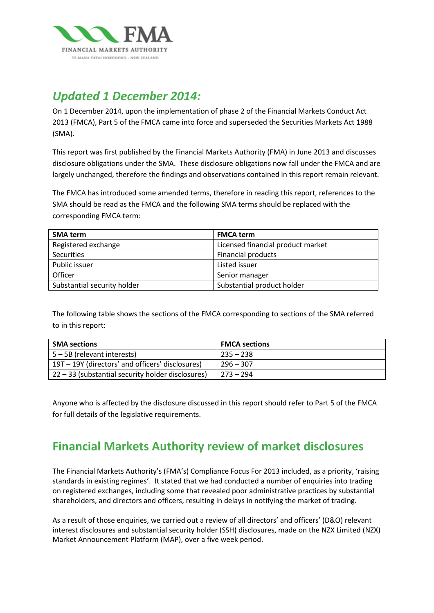

# *Updated 1 December 2014:*

On 1 December 2014, upon the implementation of phase 2 of the Financial Markets Conduct Act 2013 (FMCA), Part 5 of the FMCA came into force and superseded the Securities Markets Act 1988 (SMA).

This report was first published by the Financial Markets Authority (FMA) in June 2013 and discusses disclosure obligations under the SMA. These disclosure obligations now fall under the FMCA and are largely unchanged, therefore the findings and observations contained in this report remain relevant.

The FMCA has introduced some amended terms, therefore in reading this report, references to the SMA should be read as the FMCA and the following SMA terms should be replaced with the corresponding FMCA term:

| <b>SMA term</b>             | <b>FMCA term</b>                  |
|-----------------------------|-----------------------------------|
| Registered exchange         | Licensed financial product market |
| <b>Securities</b>           | <b>Financial products</b>         |
| Public issuer               | Listed issuer                     |
| Officer                     | Senior manager                    |
| Substantial security holder | Substantial product holder        |

The following table shows the sections of the FMCA corresponding to sections of the SMA referred to in this report:

| <b>SMA sections</b>                               | <b>FMCA sections</b> |
|---------------------------------------------------|----------------------|
| $5 - 5B$ (relevant interests)                     | $235 - 238$          |
| 19T – 19Y (directors' and officers' disclosures)  | $296 - 307$          |
| 22 – 33 (substantial security holder disclosures) | $273 - 294$          |

Anyone who is affected by the disclosure discussed in this report should refer to Part 5 of the FMCA for full details of the legislative requirements.

# **Financial Markets Authority review of market disclosures**

The Financial Markets Authority's (FMA's) Compliance Focus For 2013 included, as a priority, 'raising standards in existing regimes'. It stated that we had conducted a number of enquiries into trading on registered exchanges, including some that revealed poor administrative practices by substantial shareholders, and directors and officers, resulting in delays in notifying the market of trading.

As a result of those enquiries, we carried out a review of all directors' and officers' (D&O) relevant interest disclosures and substantial security holder (SSH) disclosures, made on the NZX Limited (NZX) Market Announcement Platform (MAP), over a five week period.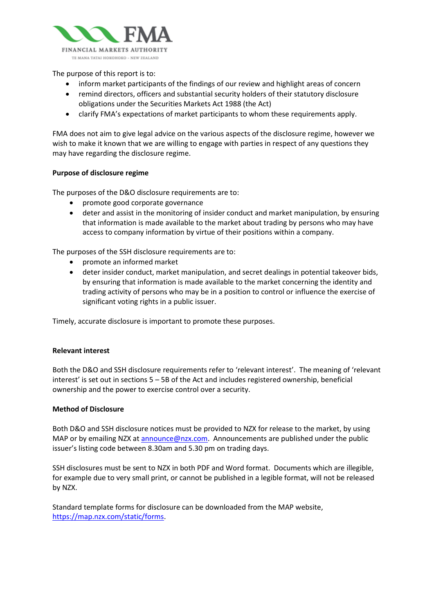

The purpose of this report is to:

- inform market participants of the findings of our review and highlight areas of concern
- remind directors, officers and substantial security holders of their statutory disclosure obligations under the Securities Markets Act 1988 (the Act)
- clarify FMA's expectations of market participants to whom these requirements apply.

FMA does not aim to give legal advice on the various aspects of the disclosure regime, however we wish to make it known that we are willing to engage with parties in respect of any questions they may have regarding the disclosure regime.

#### **Purpose of disclosure regime**

The purposes of the D&O disclosure requirements are to:

- promote good corporate governance
- deter and assist in the monitoring of insider conduct and market manipulation, by ensuring that information is made available to the market about trading by persons who may have access to company information by virtue of their positions within a company.

The purposes of the SSH disclosure requirements are to:

- promote an informed market
- deter insider conduct, market manipulation, and secret dealings in potential takeover bids, by ensuring that information is made available to the market concerning the identity and trading activity of persons who may be in a position to control or influence the exercise of significant voting rights in a public issuer.

Timely, accurate disclosure is important to promote these purposes.

#### **Relevant interest**

Both the D&O and SSH disclosure requirements refer to 'relevant interest'. The meaning of 'relevant interest' is set out in sections 5 – 5B of the Act and includes registered ownership, beneficial ownership and the power to exercise control over a security.

#### **Method of Disclosure**

Both D&O and SSH disclosure notices must be provided to NZX for release to the market, by using MAP or by emailing NZX a[t announce@nzx.com.](mailto:announce@nzx.com) Announcements are published under the public issuer's listing code between 8.30am and 5.30 pm on trading days.

SSH disclosures must be sent to NZX in both PDF and Word format. Documents which are illegible, for example due to very small print, or cannot be published in a legible format, will not be released by NZX.

Standard template forms for disclosure can be downloaded from the MAP website, [https://map.nzx.com/static/forms.](https://map.nzx.com/static/forms)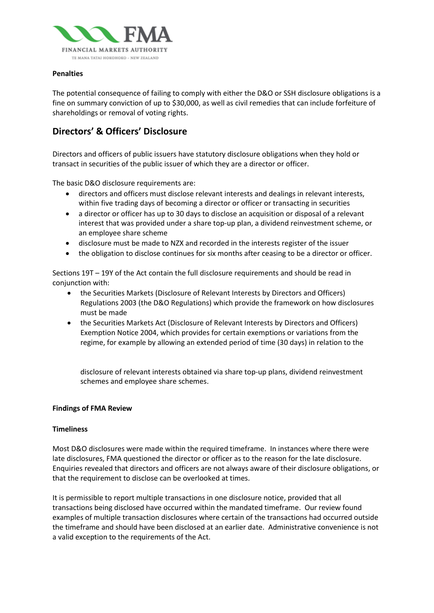

#### **Penalties**

The potential consequence of failing to comply with either the D&O or SSH disclosure obligations is a fine on summary conviction of up to \$30,000, as well as civil remedies that can include forfeiture of shareholdings or removal of voting rights.

### **Directors' & Officers' Disclosure**

Directors and officers of public issuers have statutory disclosure obligations when they hold or transact in securities of the public issuer of which they are a director or officer.

The basic D&O disclosure requirements are:

- directors and officers must disclose relevant interests and dealings in relevant interests, within five trading days of becoming a director or officer or transacting in securities
- a director or officer has up to 30 days to disclose an acquisition or disposal of a relevant interest that was provided under a share top-up plan, a dividend reinvestment scheme, or an employee share scheme
- disclosure must be made to NZX and recorded in the interests register of the issuer
- the obligation to disclose continues for six months after ceasing to be a director or officer.

Sections 19T – 19Y of the Act contain the full disclosure requirements and should be read in conjunction with:

- the Securities Markets (Disclosure of Relevant Interests by Directors and Officers) Regulations 2003 (the D&O Regulations) which provide the framework on how disclosures must be made
- the Securities Markets Act (Disclosure of Relevant Interests by Directors and Officers) Exemption Notice 2004, which provides for certain exemptions or variations from the regime, for example by allowing an extended period of time (30 days) in relation to the

disclosure of relevant interests obtained via share top-up plans, dividend reinvestment schemes and employee share schemes.

#### **Findings of FMA Review**

#### **Timeliness**

Most D&O disclosures were made within the required timeframe. In instances where there were late disclosures, FMA questioned the director or officer as to the reason for the late disclosure. Enquiries revealed that directors and officers are not always aware of their disclosure obligations, or that the requirement to disclose can be overlooked at times.

It is permissible to report multiple transactions in one disclosure notice, provided that all transactions being disclosed have occurred within the mandated timeframe. Our review found examples of multiple transaction disclosures where certain of the transactions had occurred outside the timeframe and should have been disclosed at an earlier date. Administrative convenience is not a valid exception to the requirements of the Act.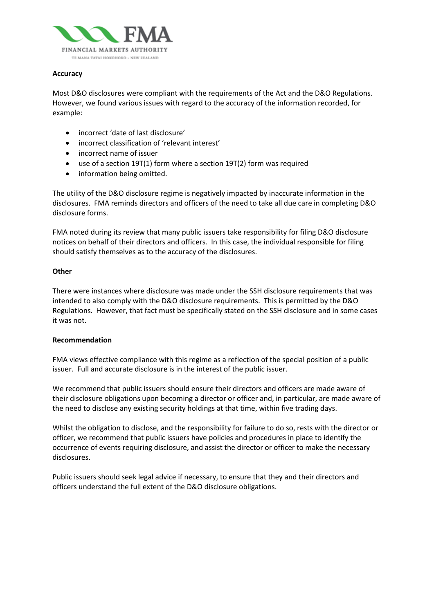

#### **Accuracy**

Most D&O disclosures were compliant with the requirements of the Act and the D&O Regulations. However, we found various issues with regard to the accuracy of the information recorded, for example:

- incorrect 'date of last disclosure'
- incorrect classification of 'relevant interest'
- incorrect name of issuer
- use of a section 19T(1) form where a section 19T(2) form was required
- information being omitted.

The utility of the D&O disclosure regime is negatively impacted by inaccurate information in the disclosures. FMA reminds directors and officers of the need to take all due care in completing D&O disclosure forms.

FMA noted during its review that many public issuers take responsibility for filing D&O disclosure notices on behalf of their directors and officers. In this case, the individual responsible for filing should satisfy themselves as to the accuracy of the disclosures.

#### **Other**

There were instances where disclosure was made under the SSH disclosure requirements that was intended to also comply with the D&O disclosure requirements. This is permitted by the D&O Regulations. However, that fact must be specifically stated on the SSH disclosure and in some cases it was not.

#### **Recommendation**

FMA views effective compliance with this regime as a reflection of the special position of a public issuer. Full and accurate disclosure is in the interest of the public issuer.

We recommend that public issuers should ensure their directors and officers are made aware of their disclosure obligations upon becoming a director or officer and, in particular, are made aware of the need to disclose any existing security holdings at that time, within five trading days.

Whilst the obligation to disclose, and the responsibility for failure to do so, rests with the director or officer, we recommend that public issuers have policies and procedures in place to identify the occurrence of events requiring disclosure, and assist the director or officer to make the necessary disclosures.

Public issuers should seek legal advice if necessary, to ensure that they and their directors and officers understand the full extent of the D&O disclosure obligations.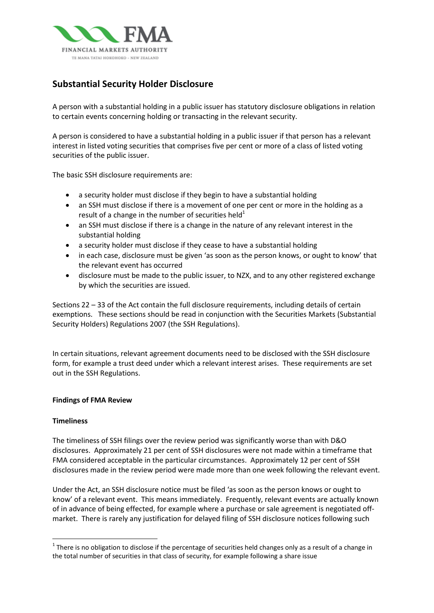

## **Substantial Security Holder Disclosure**

A person with a substantial holding in a public issuer has statutory disclosure obligations in relation to certain events concerning holding or transacting in the relevant security.

A person is considered to have a substantial holding in a public issuer if that person has a relevant interest in listed voting securities that comprises five per cent or more of a class of listed voting securities of the public issuer.

The basic SSH disclosure requirements are:

- a security holder must disclose if they begin to have a substantial holding
- an SSH must disclose if there is a movement of one per cent or more in the holding as a result of a change in the number of securities held<sup>1</sup>
- an SSH must disclose if there is a change in the nature of any relevant interest in the substantial holding
- a security holder must disclose if they cease to have a substantial holding
- in each case, disclosure must be given 'as soon as the person knows, or ought to know' that the relevant event has occurred
- disclosure must be made to the public issuer, to NZX, and to any other registered exchange by which the securities are issued.

Sections 22 – 33 of the Act contain the full disclosure requirements, including details of certain exemptions. These sections should be read in conjunction with the Securities Markets (Substantial Security Holders) Regulations 2007 (the SSH Regulations).

In certain situations, relevant agreement documents need to be disclosed with the SSH disclosure form, for example a trust deed under which a relevant interest arises. These requirements are set out in the SSH Regulations.

#### **Findings of FMA Review**

#### **Timeliness**

The timeliness of SSH filings over the review period was significantly worse than with D&O disclosures. Approximately 21 per cent of SSH disclosures were not made within a timeframe that FMA considered acceptable in the particular circumstances. Approximately 12 per cent of SSH disclosures made in the review period were made more than one week following the relevant event.

Under the Act, an SSH disclosure notice must be filed 'as soon as the person knows or ought to know' of a relevant event. This means immediately. Frequently, relevant events are actually known of in advance of being effected, for example where a purchase or sale agreement is negotiated offmarket. There is rarely any justification for delayed filing of SSH disclosure notices following such

 $1$  There is no obligation to disclose if the percentage of securities held changes only as a result of a change in the total number of securities in that class of security, for example following a share issue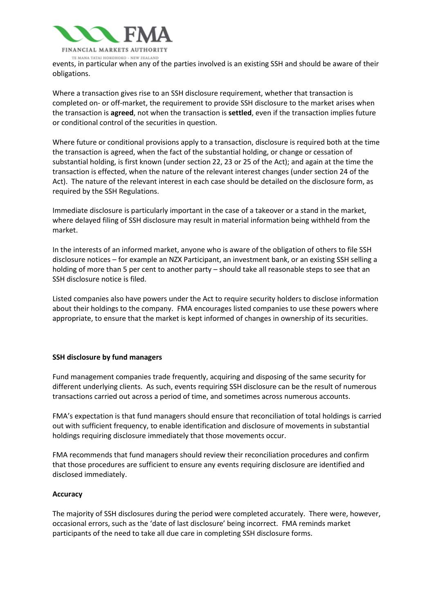

events, in particular when any of the parties involved is an existing SSH and should be aware of their obligations.

Where a transaction gives rise to an SSH disclosure requirement, whether that transaction is completed on- or off-market, the requirement to provide SSH disclosure to the market arises when the transaction is **agreed**, not when the transaction is **settled**, even if the transaction implies future or conditional control of the securities in question.

Where future or conditional provisions apply to a transaction, disclosure is required both at the time the transaction is agreed, when the fact of the substantial holding, or change or cessation of substantial holding, is first known (under section 22, 23 or 25 of the Act); and again at the time the transaction is effected, when the nature of the relevant interest changes (under section 24 of the Act). The nature of the relevant interest in each case should be detailed on the disclosure form, as required by the SSH Regulations.

Immediate disclosure is particularly important in the case of a takeover or a stand in the market, where delayed filing of SSH disclosure may result in material information being withheld from the market.

In the interests of an informed market, anyone who is aware of the obligation of others to file SSH disclosure notices – for example an NZX Participant, an investment bank, or an existing SSH selling a holding of more than 5 per cent to another party – should take all reasonable steps to see that an SSH disclosure notice is filed.

Listed companies also have powers under the Act to require security holders to disclose information about their holdings to the company. FMA encourages listed companies to use these powers where appropriate, to ensure that the market is kept informed of changes in ownership of its securities.

#### **SSH disclosure by fund managers**

Fund management companies trade frequently, acquiring and disposing of the same security for different underlying clients. As such, events requiring SSH disclosure can be the result of numerous transactions carried out across a period of time, and sometimes across numerous accounts.

FMA's expectation is that fund managers should ensure that reconciliation of total holdings is carried out with sufficient frequency, to enable identification and disclosure of movements in substantial holdings requiring disclosure immediately that those movements occur.

FMA recommends that fund managers should review their reconciliation procedures and confirm that those procedures are sufficient to ensure any events requiring disclosure are identified and disclosed immediately.

#### **Accuracy**

The majority of SSH disclosures during the period were completed accurately. There were, however, occasional errors, such as the 'date of last disclosure' being incorrect. FMA reminds market participants of the need to take all due care in completing SSH disclosure forms.